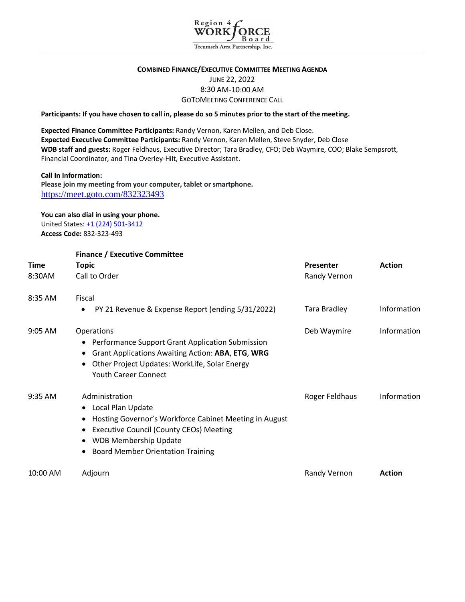

# **COMBINED FINANCE/EXECUTIVE COMMITTEE MEETING AGENDA** JUNE 22, 2022 8:30 AM-10:00 AM GOTOMEETING CONFERENCE CALL

**Participants: If you have chosen to call in, please do so 5 minutes prior to the start of the meeting.**

**Expected Finance Committee Participants:** Randy Vernon, Karen Mellen, and Deb Close. **Expected Executive Committee Participants:** Randy Vernon, Karen Mellen, Steve Snyder, Deb Close **WDB staff and guests:** Roger Feldhaus, Executive Director; Tara Bradley, CFO; Deb Waymire, COO; Blake Sempsrott, Financial Coordinator, and Tina Overley-Hilt, Executive Assistant.

#### **Call In Information:**

**Please join my meeting from your computer, tablet or smartphone.** <https://meet.goto.com/832323493>

#### **You can also dial in using your phone.** United States: +1 (224) 501-3412

**Access Code:** 832-323-493

|             | <b>Finance / Executive Committee</b>                                                                                                                                                                                                     |                     |               |  |
|-------------|------------------------------------------------------------------------------------------------------------------------------------------------------------------------------------------------------------------------------------------|---------------------|---------------|--|
| <b>Time</b> | <b>Topic</b>                                                                                                                                                                                                                             | Presenter           | <b>Action</b> |  |
| 8:30AM      | Call to Order                                                                                                                                                                                                                            | Randy Vernon        |               |  |
| 8:35 AM     | Fiscal                                                                                                                                                                                                                                   |                     |               |  |
|             | PY 21 Revenue & Expense Report (ending 5/31/2022)                                                                                                                                                                                        | <b>Tara Bradley</b> | Information   |  |
| $9:05$ AM   | <b>Operations</b><br>• Performance Support Grant Application Submission<br>Grant Applications Awaiting Action: ABA, ETG, WRG<br>Other Project Updates: WorkLife, Solar Energy<br><b>Youth Career Connect</b>                             | Deb Waymire         | Information   |  |
| 9:35 AM     | Administration<br>Local Plan Update<br>Hosting Governor's Workforce Cabinet Meeting in August<br><b>Executive Council (County CEOs) Meeting</b><br><b>WDB Membership Update</b><br>$\bullet$<br><b>Board Member Orientation Training</b> | Roger Feldhaus      | Information   |  |
| 10:00 AM    | Adjourn                                                                                                                                                                                                                                  | Randy Vernon        | <b>Action</b> |  |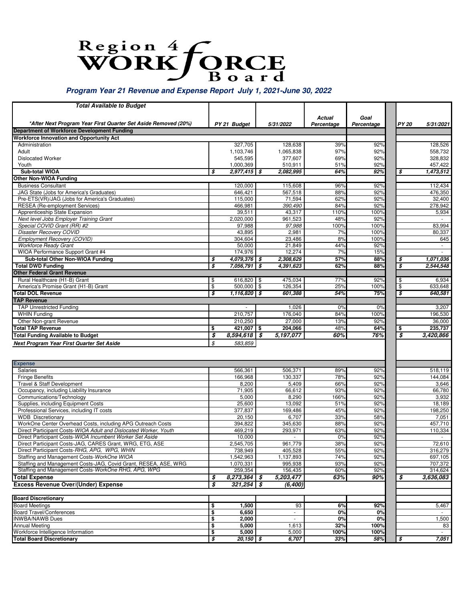# Region 4 CRCE

# **Program Year 21 Revenue and Expense Report July 1, 2021-June 30, 2022**

| <b>Total Available to Budget</b>                                          |                                        |                     |      |                         |               |                    |                             |                                   |
|---------------------------------------------------------------------------|----------------------------------------|---------------------|------|-------------------------|---------------|--------------------|-----------------------------|-----------------------------------|
|                                                                           |                                        |                     |      |                         |               |                    |                             |                                   |
| *After Next Program Year First Quarter Set Aside Removed (20%)            |                                        |                     |      |                         | <b>Actual</b> | Goal<br>Percentage |                             |                                   |
| Department of Workforce Development Funding                               |                                        | PY 21 Budget        |      | 5/31/2022               | Percentage    |                    |                             | <b>PY 20</b><br>5/31/2021         |
| <b>Workforce Innovation and Opportunity Act</b>                           |                                        |                     |      |                         |               |                    |                             |                                   |
| Administration                                                            |                                        | 327,705             |      | 128,638                 | 39%           | 92%                |                             | 128,526                           |
| Adult                                                                     |                                        | 1.103.746           |      | 1,065,838               | 97%           | 92%                |                             | 558,732                           |
| <b>Dislocated Worker</b>                                                  |                                        | 545,595             |      | 377,607                 | 69%           | 92%                |                             | 328,832                           |
| Youth                                                                     |                                        | 1,000,369           |      | 510,911                 | 51%           | 92%                |                             | 457,422                           |
| Sub-total WIOA                                                            | \$                                     | 2,977,415 \$        |      | 2,082,995               | 64%           | 92%                | \$                          | 1,473,512                         |
| <b>Other Non-WIOA Funding</b>                                             |                                        |                     |      |                         |               |                    |                             |                                   |
| <b>Business Consultant</b>                                                |                                        | 120,000             |      | 115,608                 | 96%           | 92%                |                             | 112,434                           |
| JAG State (Jobs for America's Graduates)                                  |                                        | 646,421             |      | 567.518                 | 88%           | 92%                |                             | 476,350                           |
| Pre-ETS(VR)/JAG (Jobs for America's Graduates)                            |                                        | 115,000             |      | 71,594                  | 62%           | 92%                |                             | 32,400                            |
| <b>RESEA</b> (Re-employment Services)                                     |                                        | 466,981             |      | 390,490                 | 84%           | 92%                |                             | 278,942                           |
| Apprenticeship State Expansion<br>Next level Jobs Employer Training Grant |                                        | 39,511<br>2,020,000 |      | 43,317<br>961,523       | 110%<br>48%   | 100%<br>92%        |                             | 5,934<br>$\overline{\phantom{a}}$ |
| Special COVID Grant (RR) #2                                               |                                        | 97,988              |      | 97,988                  | 100%          | 100%               |                             | 83,994                            |
| <b>Disaster Recovery COVID</b>                                            |                                        | 43,895              |      | 2,981                   | 7%            | 100%               |                             | 80,337                            |
| Employment Recovery (COVID)                                               |                                        | 304,604             |      | 23,486                  | 8%            | 100%               |                             | 645                               |
| <b>Workforce Ready Grant</b>                                              |                                        | 50,000              |      | 21,849                  | 44%           | 92%                |                             |                                   |
| WIOA Performance Support Grant #4                                         |                                        | 174,976             |      | 12,274                  | 7%            | 15%                |                             |                                   |
| Sub-total Other Non-WIOA Funding                                          | \$                                     | $4,079,376$ \$      |      | 2,308,629               | 57%           | 88%                | \$                          | 1,071,036                         |
| <b>Total DWD Funding</b>                                                  | \$                                     | 7,056,791           | \$   | 4,391,623               | 62%           | 88%                | \$                          | 2,544,548                         |
| <b>Other Federal Grant Revenue</b>                                        |                                        |                     |      |                         |               |                    |                             |                                   |
| Rural Healthcare (H1-B) Grant                                             | \$                                     | 616,820             | \$   | 475,034                 | 77%           | 92%                | \$                          | 6,934                             |
| America's Promise Grant (H1-B) Grant                                      | \$                                     | 500.000             | \$   | 126,354                 | 25%           | 100%               | \$                          | 633,648                           |
| <b>Total DOL Revenue</b>                                                  | \$                                     | 1,116,820           | 5    | 601,388                 | 54%           | 75%                | $\overline{\boldsymbol{s}}$ | 640,581                           |
| <b>TAP Revenue</b>                                                        |                                        |                     |      |                         |               |                    |                             |                                   |
| <b>TAP Unrestricted Funding</b>                                           |                                        |                     |      | 1,026                   | 0%            | 0%                 |                             | 3,207                             |
| <b>WHIN Funding</b>                                                       |                                        | 210,757             |      | 176,040                 | 84%           | 100%               |                             | 196,530                           |
| Other Non-grant Revenue                                                   |                                        | 210,250             |      | 27,000                  | 13%           | 92%                |                             | 36,000                            |
| <b>Total TAP Revenue</b>                                                  | \$                                     | 421,007 \$          |      | 204,066                 | 48%           | 64%                | \$                          | 235,737                           |
| <b>Total Funding Available to Budget</b>                                  | \$                                     | 8,594,618           | - \$ | 5,197,077               | 60%           | 76%                | $\overline{\boldsymbol{s}}$ | 3,420,866                         |
| Next Program Year First Quarter Set Aside                                 | \$                                     | 583,859             |      |                         |               |                    |                             |                                   |
|                                                                           |                                        |                     |      |                         |               |                    |                             |                                   |
|                                                                           |                                        |                     |      |                         |               |                    |                             |                                   |
| <b>Expense</b>                                                            |                                        |                     |      |                         |               |                    |                             |                                   |
| Salaries                                                                  |                                        | 566,361             |      | 506,371                 | 89%           | 92%                |                             | 518,119                           |
| <b>Fringe Benefits</b><br>Travel & Staff Development                      |                                        | 166,968<br>8,200    |      | 130,337<br>5,409        | 78%<br>66%    | 92%<br>92%         |                             | 144,084                           |
| Occupancy, including Liability Insurance                                  |                                        | 71,905              |      | 66,612                  | 93%           | 92%                |                             | 3,646<br>66,780                   |
| Communications/Technology                                                 |                                        | 5,000               |      | 8,290                   | 166%          | 92%                |                             | 3,932                             |
| Supplies, including Equipment Costs                                       |                                        | 25,600              |      | 13,092                  | 51%           | 92%                |                             | 18,189                            |
| Professional Services, including IT costs                                 |                                        | 377,837             |      | 169,486                 | 45%           | 92%                |                             | 198,250                           |
| <b>WDB</b> Discretionary                                                  |                                        | 20,150              |      | 6,707                   | 33%           | 58%                |                             | 7,051                             |
| WorkOne Center Overhead Costs, including APG Outreach Costs               |                                        | 394,822             |      | 345,630                 | 88%           | 92%                |                             | 457,710                           |
| Direct Participant Costs-WIOA Adult and Dislocated Worker, Youth          |                                        | 469,219             |      | 293,971                 | 63%           | 92%                |                             | 110,334                           |
| Direct Participant Costs-WIOA Incumbent Worker Set Aside                  |                                        | 10,000              |      |                         | 0%            | 92%                |                             |                                   |
| Direct Participant Costs-JAG, CARES Grant, WRG, ETG, ASE                  |                                        | 2,545,705           |      | 961.779                 | 38%           | 92%                |                             | 72,610                            |
| Direct Participant Costs-RHG, APG, WPG, WHIN                              |                                        | 738,949             |      | 405,528                 | 55%           | 92%                |                             | 316,279                           |
| Staffing and Management Costs-WorkOne WIOA                                |                                        | 1,542,963           |      | 1,137,893               | 74%           | 92%                |                             | 697,105                           |
| Staffing and Management Costs-JAG, Covid Grant, RESEA, ASE, WRG           |                                        | 1,070,331           |      | 995,938                 | 93%           | 92%                |                             | 707,372                           |
| Staffing and Management Costs-WorkOne RHG, APG, WPG                       |                                        | 259,354             |      | 156,435                 | 60%           | 92%                |                             | 314,624                           |
| Total Expense                                                             | \$                                     | $8,273,364$ \$      |      | 5,203,477               | 63%           | 90%                | \$                          | 3.636.083                         |
| <b>Excess Revenue Over/(Under) Expense</b>                                | \$                                     | 321,254             | l \$ | (6, 400)                |               |                    |                             |                                   |
|                                                                           |                                        |                     |      |                         |               |                    |                             |                                   |
| <b>Board Discretionary</b>                                                |                                        |                     |      |                         |               |                    |                             |                                   |
| <b>Board Meetings</b>                                                     | \$                                     | 1,500               |      | 93                      | 6%            | 92%                |                             | 5,467                             |
| <b>Board Travel/Conferences</b>                                           | \$                                     | 6,650               |      |                         | 0%            | 0%                 |                             |                                   |
| <b>INWBA/NAWB Dues</b><br><b>Annual Meeting</b>                           | \$<br>\$                               | 2,000<br>5,000      |      | $\blacksquare$<br>1,613 | 0%<br>32%     | 0%<br>100%         |                             | 1,500<br>83                       |
| Workforce Intelligence Information                                        | \$                                     | 5,000               |      | 5,000                   | 100%          | 100%               |                             |                                   |
| <b>Total Board Discretionary</b>                                          | $\overline{\boldsymbol{\mathfrak{s}}}$ | $20,150$ \$         |      | 6,707                   | 33%           | 58%                | $\overline{\boldsymbol{s}}$ | 7,051                             |
|                                                                           |                                        |                     |      |                         |               |                    |                             |                                   |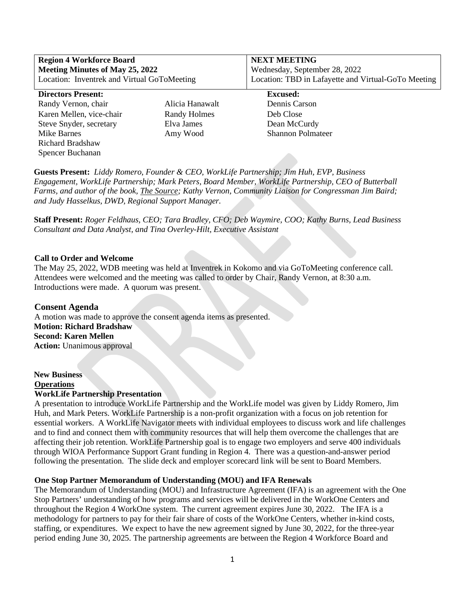| <b>Region 4 Workforce Board</b><br><b>Meeting Minutes of May 25, 2022</b><br>Location: Inventrek and Virtual GoToMeeting |                 | <b>NEXT MEETING</b><br>Wednesday, September 28, 2022<br>Location: TBD in Lafayette and Virtual-GoTo Meeting |  |  |  |  |
|--------------------------------------------------------------------------------------------------------------------------|-----------------|-------------------------------------------------------------------------------------------------------------|--|--|--|--|
| <b>Directors Present:</b>                                                                                                |                 | <b>Excused:</b>                                                                                             |  |  |  |  |
| Randy Vernon, chair                                                                                                      | Alicia Hanawalt | Dennis Carson                                                                                               |  |  |  |  |
| Karen Mellen, vice-chair                                                                                                 | Randy Holmes    | Deb Close                                                                                                   |  |  |  |  |
| Steve Snyder, secretary                                                                                                  | Elva James      | Dean McCurdy                                                                                                |  |  |  |  |
| Mike Barnes                                                                                                              | Amy Wood        | <b>Shannon Polmateer</b>                                                                                    |  |  |  |  |
| <b>Richard Bradshaw</b>                                                                                                  |                 |                                                                                                             |  |  |  |  |
| Spencer Buchanan                                                                                                         |                 |                                                                                                             |  |  |  |  |

**Guests Present:** *Liddy Romero*, *Founder & CEO, WorkLife Partnership; Jim Huh, EVP, Business Engagement, WorkLife Partnership; Mark Peters, Board Member, WorkLife Partnership, CEO of Butterball Farms, and author of the book, The Source; Kathy Vernon, Community Liaison for Congressman Jim Baird; and Judy Hasselkus, DWD, Regional Support Manager.*

**Staff Present:** *Roger Feldhaus, CEO; Tara Bradley, CFO; Deb Waymire, COO; Kathy Burns, Lead Business Consultant and Data Analyst, and Tina Overley-Hilt, Executive Assistant*

#### **Call to Order and Welcome**

The May 25, 2022, WDB meeting was held at Inventrek in Kokomo and via GoToMeeting conference call. Attendees were welcomed and the meeting was called to order by Chair, Randy Vernon, at 8:30 a.m. Introductions were made. A quorum was present.

**Consent Agenda**  A motion was made to approve the consent agenda items as presented. **Motion: Richard Bradshaw Second: Karen Mellen Action:** Unanimous approval

# **New Business Operations**

# **WorkLife Partnership Presentation**

A presentation to introduce WorkLife Partnership and the WorkLife model was given by Liddy Romero, Jim Huh, and Mark Peters. WorkLife Partnership is a non-profit organization with a focus on job retention for essential workers. A WorkLife Navigator meets with individual employees to discuss work and life challenges and to find and connect them with community resources that will help them overcome the challenges that are affecting their job retention. WorkLife Partnership goal is to engage two employers and serve 400 individuals through WIOA Performance Support Grant funding in Region 4. There was a question-and-answer period following the presentation. The slide deck and employer scorecard link will be sent to Board Members.

#### **One Stop Partner Memorandum of Understanding (MOU) and IFA Renewals**

The Memorandum of Understanding (MOU) and Infrastructure Agreement (IFA) is an agreement with the One Stop Partners' understanding of how programs and services will be delivered in the WorkOne Centers and throughout the Region 4 WorkOne system. The current agreement expires June 30, 2022. The IFA is a methodology for partners to pay for their fair share of costs of the WorkOne Centers, whether in-kind costs, staffing, or expenditures. We expect to have the new agreement signed by June 30, 2022, for the three-year period ending June 30, 2025. The partnership agreements are between the Region 4 Workforce Board and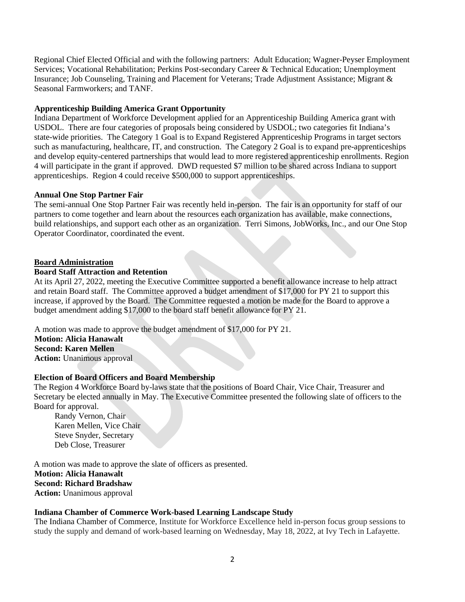Regional Chief Elected Official and with the following partners: Adult Education; Wagner-Peyser Employment Services; Vocational Rehabilitation; Perkins Post-secondary Career & Technical Education; Unemployment Insurance; Job Counseling, Training and Placement for Veterans; Trade Adjustment Assistance; Migrant & Seasonal Farmworkers; and TANF.

# **Apprenticeship Building America Grant Opportunity**

Indiana Department of Workforce Development applied for an Apprenticeship Building America grant with USDOL. There are four categories of proposals being considered by USDOL; two categories fit Indiana's state-wide priorities. The Category 1 Goal is to Expand Registered Apprenticeship Programs in target sectors such as manufacturing, healthcare, IT, and construction. The Category 2 Goal is to expand pre-apprenticeships and develop equity-centered partnerships that would lead to more registered apprenticeship enrollments. Region 4 will participate in the grant if approved. DWD requested \$7 million to be shared across Indiana to support apprenticeships. Region 4 could receive \$500,000 to support apprenticeships.

# **Annual One Stop Partner Fair**

The semi-annual One Stop Partner Fair was recently held in-person. The fair is an opportunity for staff of our partners to come together and learn about the resources each organization has available, make connections, build relationships, and support each other as an organization. Terri Simons, JobWorks, Inc., and our One Stop Operator Coordinator, coordinated the event.

# **Board Administration**

# **Board Staff Attraction and Retention**

At its April 27, 2022, meeting the Executive Committee supported a benefit allowance increase to help attract and retain Board staff. The Committee approved a budget amendment of \$17,000 for PY 21 to support this increase, if approved by the Board. The Committee requested a motion be made for the Board to approve a budget amendment adding \$17,000 to the board staff benefit allowance for PY 21.

A motion was made to approve the budget amendment of \$17,000 for PY 21.

**Motion: Alicia Hanawalt Second: Karen Mellen Action:** Unanimous approval

# **Election of Board Officers and Board Membership**

The Region 4 Workforce Board by-laws state that the positions of Board Chair, Vice Chair, Treasurer and Secretary be elected annually in May. The Executive Committee presented the following slate of officers to the Board for approval.

Randy Vernon, Chair Karen Mellen, Vice Chair Steve Snyder, Secretary Deb Close, Treasurer

A motion was made to approve the slate of officers as presented. **Motion: Alicia Hanawalt Second: Richard Bradshaw Action:** Unanimous approval

# **Indiana Chamber of Commerce Work-based Learning Landscape Study**

The Indiana Chamber of Commerce, Institute for Workforce Excellence held in-person focus group sessions to study the supply and demand of work-based learning on Wednesday, May 18, 2022, at Ivy Tech in Lafayette.